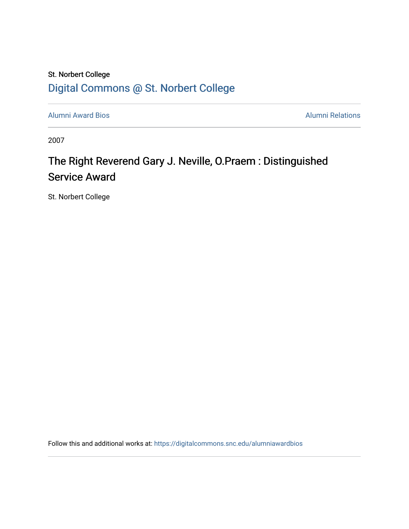## St. Norbert College [Digital Commons @ St. Norbert College](https://digitalcommons.snc.edu/)

[Alumni Award Bios](https://digitalcommons.snc.edu/alumniawardbios) **Alumni Award Bios Alumni Relations** 

2007

## The Right Reverend Gary J. Neville, O.Praem : Distinguished Service Award

St. Norbert College

Follow this and additional works at: [https://digitalcommons.snc.edu/alumniawardbios](https://digitalcommons.snc.edu/alumniawardbios?utm_source=digitalcommons.snc.edu%2Falumniawardbios%2F37&utm_medium=PDF&utm_campaign=PDFCoverPages)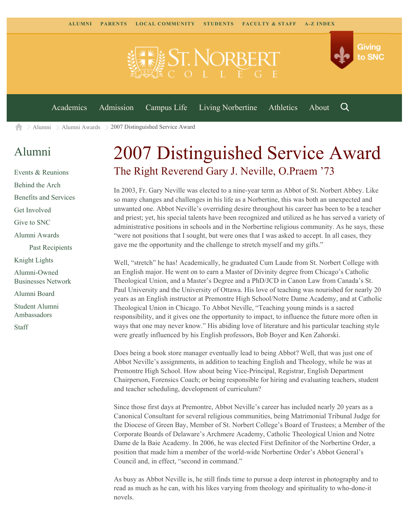

 $\geq$  [Alumni](https://www.snc.edu/alumni/)  $\geq$  [Alumni Awards](https://www.snc.edu/alumni/awards/)  $\geq$  2007 Distinguished Service Award A

## [Alumni](https://www.snc.edu/alumni/index.html)

[Events & Reunions](https://www.snc.edu/alumni/event/index.html) [Behind the Arch](https://www.snc.edu/alumni/event/behindthearch/) [Benefits and Services](https://www.snc.edu/alumni/benefits.html) [Get Involved](https://www.snc.edu/alumni/getinvolved.html) [Give to SNC](http://giving.snc.edu/) [Alumni Awards](https://www.snc.edu/alumni/awards/index.html) [Past Recipients](https://www.snc.edu/alumni/awards/recipients.html) [Knight Lights](https://www.snc.edu/alumni/knightlights/index.html) [Alumni-Owned](https://www.snc.edu/alumni/directory/index.html) [Businesses Network](https://www.snc.edu/alumni/directory/index.html) [Alumni Board](https://www.snc.edu/alumni/alumniboard.html) [Student Alumni](https://www.snc.edu/alumni/saa.html) [Ambassadors](https://www.snc.edu/alumni/saa.html) [Staff](https://www.snc.edu/alumni/contactus.html)

## 2007 Distinguished Service Award The Right Reverend Gary J. Neville, O.Praem '73

In 2003, Fr. Gary Neville was elected to a nine-year term as Abbot of St. Norbert Abbey. Like so many changes and challenges in his life as a Norbertine, this was both an unexpected and unwanted one. Abbot Neville's overriding desire throughout his career has been to be a teacher and priest; yet, his special talents have been recognized and utilized as he has served a variety of administrative positions in schools and in the Norbertine religious community. As he says, these "were not positions that I sought, but were ones that I was asked to accept. In all cases, they gave me the opportunity and the challenge to stretch myself and my gifts."

Well, "stretch" he has! Academically, he graduated Cum Laude from St. Norbert College with an English major. He went on to earn a Master of Divinity degree from Chicago's Catholic Theological Union, and a Master's Degree and a PhD/JCD in Canon Law from Canada's St. Paul University and the University of Ottawa. His love of teaching was nourished for nearly 20 years as an English instructor at Premontre High School/Notre Dame Academy, and at Catholic Theological Union in Chicago. To Abbot Neville, "Teaching young minds is a sacred responsibility, and it gives one the opportunity to impact, to influence the future more often in ways that one may never know." His abiding love of literature and his particular teaching style were greatly influenced by his English professors, Bob Boyer and Ken Zahorski.

Does being a book store manager eventually lead to being Abbot? Well, that was just one of Abbot Neville's assignments, in addition to teaching English and Theology, while he was at Premontre High School. How about being Vice-Principal, Registrar, English Department Chairperson, Forensics Coach; or being responsible for hiring and evaluating teachers, student and teacher scheduling, development of curriculum?

Since those first days at Premontre, Abbot Neville's career has included nearly 20 years as a Canonical Consultant for several religious communities, being Matrimonial Tribunal Judge for the Diocese of Green Bay, Member of St. Norbert College's Board of Trustees; a Member of the Corporate Boards of Delaware's Archmere Academy, Catholic Theological Union and Notre Dame de la Baie Academy. In 2006, he was elected First Definitor of the Norbertine Order, a position that made him a member of the world-wide Norbertine Order's Abbot General's Council and, in effect, "second in command."

As busy as Abbot Neville is, he still finds time to pursue a deep interest in photography and to read as much as he can, with his likes varying from theology and spirituality to who-done-it novels.